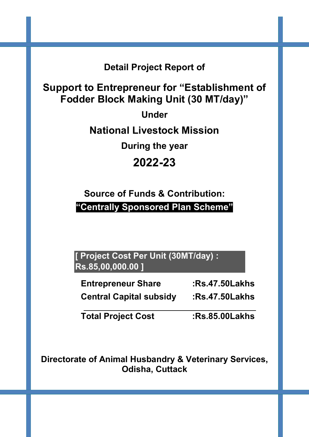Detail Project Report of

Support to Entrepreneur for "Establishment of Fodder Block Making Unit (30 MT/day)"

Under

National Livestock Mission

During the year

# 2022-23

Source of Funds & Contribution: "Centrally Sponsored Plan Scheme"

[ Project Cost Per Unit (30MT/day) : Rs.85,00,000.00 ]

Entrepreneur Share :Rs.47.50Lakhs Central Capital subsidy :Rs.47.50Lakhs

\_\_\_\_\_\_\_\_\_\_\_\_\_\_\_\_\_\_\_\_\_\_\_\_\_\_\_\_\_\_\_\_\_\_\_\_ Total Project Cost :Rs.85.00Lakhs

Directorate of Animal Husbandry & Veterinary Services, Odisha, Cuttack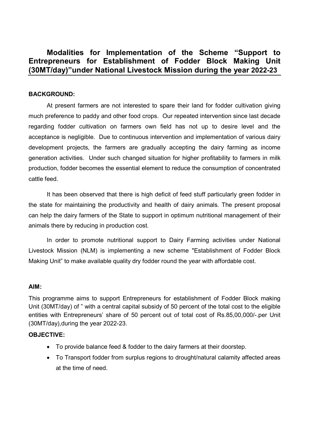## Modalities for Implementation of the Scheme "Support to Entrepreneurs for Establishment of Fodder Block Making Unit (30MT/day)"under National Livestock Mission during the year 2022-23

#### BACKGROUND:

At present farmers are not interested to spare their land for fodder cultivation giving much preference to paddy and other food crops. Our repeated intervention since last decade regarding fodder cultivation on farmers own field has not up to desire level and the acceptance is negligible. Due to continuous intervention and implementation of various dairy development projects, the farmers are gradually accepting the dairy farming as income generation activities. Under such changed situation for higher profitability to farmers in milk production, fodder becomes the essential element to reduce the consumption of concentrated cattle feed.

It has been observed that there is high deficit of feed stuff particularly green fodder in the state for maintaining the productivity and health of dairy animals. The present proposal can help the dairy farmers of the State to support in optimum nutritional management of their animals there by reducing in production cost.

In order to promote nutritional support to Dairy Farming activities under National Livestock Mission (NLM) is implementing a new scheme "Establishment of Fodder Block Making Unit" to make available quality dry fodder round the year with affordable cost.

#### AIM:

This programme aims to support Entrepreneurs for establishment of Fodder Block making Unit (30MT/day) of " with a central capital subsidy of 50 percent of the total cost to the eligible entities with Entrepreneurs' share of 50 percent out of total cost of Rs.85,00,000/-.per Unit (30MT/day),during the year 2022-23.

#### OBJECTIVE:

- To provide balance feed & fodder to the dairy farmers at their doorstep.
- To Transport fodder from surplus regions to drought/natural calamity affected areas at the time of need.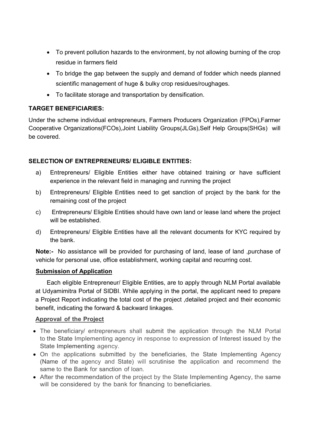- To prevent pollution hazards to the environment, by not allowing burning of the crop residue in farmers field
- To bridge the gap between the supply and demand of fodder which needs planned scientific management of huge & bulky crop residues/roughages.
- To facilitate storage and transportation by densification.

#### TARGET BENEFICIARIES:

Under the scheme individual entrepreneurs, Farmers Producers Organization (FPOs),Farmer Cooperative Organizations(FCOs),Joint Liability Groups(JLGs),Self Help Groups(SHGs) will be covered.

#### SELECTION OF ENTREPRENEURS/ ELIGIBLE ENTITIES:

- a) Entrepreneurs/ Eligible Entities either have obtained training or have sufficient experience in the relevant field in managing and running the project
- b) Entrepreneurs/ Eligible Entities need to get sanction of project by the bank for the remaining cost of the project
- c) Entrepreneurs/ Eligible Entities should have own land or lease land where the project will be established.
- d) Entrepreneurs/ Eligible Entities have all the relevant documents for KYC required by the bank.

Note:- No assistance will be provided for purchasing of land, lease of land, purchase of vehicle for personal use, office establishment, working capital and recurring cost.

#### Submission of Application

Each eligible Entrepreneur/ Eligible Entities, are to apply through NLM Portal available at Udyamimitra Portal of SIDBI. While applying in the portal, the applicant need to prepare a Project Report indicating the total cost of the project ,detailed project and their economic benefit, indicating the forward & backward linkages.

#### Approval of the Project

- The beneficiary/ entrepreneurs shall submit the application through the NLM Portal to the State Implementing agency in response to expression of Interest issued by the State Implementing agency.
- On the applications submitted by the beneficiaries, the State Implementing Agency (Name of the agency and State) will scrutinise the application and recommend the same to the Bank for sanction of loan.
- After the recommendation of the project by the State Implementing Agency, the same will be considered by the bank for financing to beneficiaries.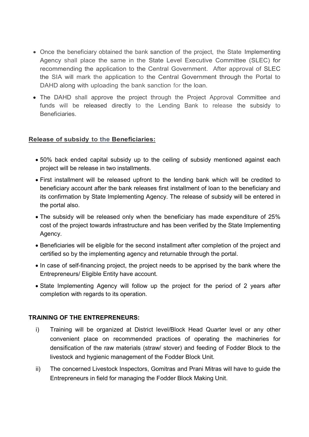- Once the beneficiary obtained the bank sanction of the project, the State Implementing Agency shall place the same in the State Level Executive Committee (SLEC) for recommending the application to the Central Government. After approval of SLEC the SIA will mark the application to the Central Government through the Portal to DAHD along with uploading the bank sanction for the loan.
- The DAHD shall approve the project through the Project Approval Committee and funds will be released directly to the Lending Bank to release the subsidy to **Beneficiaries**

#### Release of subsidy to the Beneficiaries:

- 50% back ended capital subsidy up to the ceiling of subsidy mentioned against each project will be release in two installments.
- First installment will be released upfront to the lending bank which will be credited to beneficiary account after the bank releases first installment of loan to the beneficiary and its confirmation by State Implementing Agency. The release of subsidy will be entered in the portal also.
- The subsidy will be released only when the beneficiary has made expenditure of 25% cost of the project towards infrastructure and has been verified by the State Implementing Agency.
- Beneficiaries will be eligible for the second installment after completion of the project and certified so by the implementing agency and returnable through the portal.
- In case of self-financing project, the project needs to be apprised by the bank where the Entrepreneurs/ Eligible Entity have account.
- State Implementing Agency will follow up the project for the period of 2 years after completion with regards to its operation.

#### TRAINING OF THE ENTREPRENEURS:

- i) Training will be organized at District level/Block Head Quarter level or any other convenient place on recommended practices of operating the machineries for densification of the raw materials (straw/ stover) and feeding of Fodder Block to the livestock and hygienic management of the Fodder Block Unit.
- ii) The concerned Livestock Inspectors, Gomitras and Prani Mitras will have to guide the Entrepreneurs in field for managing the Fodder Block Making Unit.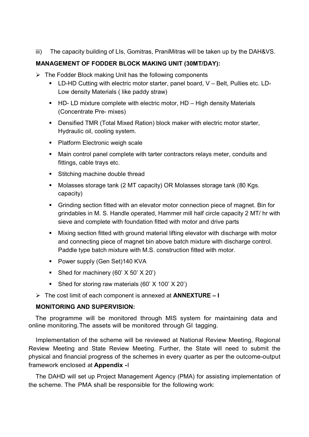iii) The capacity building of LIs, Gomitras, PraniMitras will be taken up by the DAH&VS.

#### MANAGEMENT OF FODDER BLOCK MAKING UNIT (30MT/DAY):

- $\triangleright$  The Fodder Block making Unit has the following components
	- LD-HD Cutting with electric motor starter, panel board, V Belt, Pullies etc. LD-Low density Materials ( like paddy straw)
	- $\blacksquare$  HD- LD mixture complete with electric motor, HD High density Materials (Concentrate Pre- mixes)
	- **Densified TMR (Total Mixed Ration) block maker with electric motor starter,** Hydraulic oil, cooling system.
	- Platform Electronic weigh scale
	- Main control panel complete with tarter contractors relays meter, conduits and fittings, cable trays etc.
	- **Stitching machine double thread**
	- Molasses storage tank (2 MT capacity) OR Molasses storage tank (80 Kgs. capacity)
	- Grinding section fitted with an elevator motor connection piece of magnet. Bin for grindables in M. S. Handle operated, Hammer mill half circle capacity 2 MT/ hr with sieve and complete with foundation fitted with motor and drive parts
	- Mixing section fitted with ground material lifting elevator with discharge with motor and connecting piece of magnet bin above batch mixture with discharge control. Paddle type batch mixture with M.S. construction fitted with motor.
	- **Power supply (Gen Set)140 KVA**
	- Shed for machinery  $(60' \times 50' \times 20')$
	- Shed for storing raw materials  $(60' \times 100' \times 20')$
- $\triangleright$  The cost limit of each component is annexed at **ANNEXTURE I**

#### MONITORING AND SUPERVISION:

The programme will be monitored through MIS system for maintaining data and online monitoring. The assets will be monitored through GI tagging.

Implementation of the scheme will be reviewed at National Review Meeting, Regional Review Meeting and State Review Meeting. Further, the State will need to submit the physical and financial progress of the schemes in every quarter as per the outcome-output framework enclosed at **Appendix - I** 

The DAHD will set up Project Management Agency (PMA) for assisting implementation of the scheme. The PMA shall be responsible for the following work: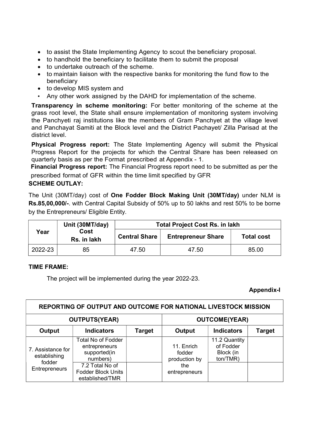- to assist the State Implementing Agency to scout the beneficiary proposal.
- to handhold the beneficiary to facilitate them to submit the proposal
- to undertake outreach of the scheme.
- to maintain liaison with the respective banks for monitoring the fund flow to the beneficiary
- to develop MIS system and
- Any other work assigned by the DAHD for implementation of the scheme.

Transparency in scheme monitoring: For better monitoring of the scheme at the grass root level, the State shall ensure implementation of monitoring system involving the Panchyeti raj institutions like the members of Gram Panchyet at the village level and Panchayat Samiti at the Block level and the District Pachayet/ Zilla Parisad at the district level.

Physical Progress report: The State Implementing Agency will submit the Physical Progress Report for the projects for which the Central Share has been released on quarterly basis as per the Format prescribed at Appendix - 1.

Financial Progress report: The Financial Progress report need to be submitted as per the prescribed format of GFR within the time limit specified by GFR

#### SCHEME OUTLAY:

The Unit (30MT/day) cost of One Fodder Block Making Unit (30MT/day) under NLM is Rs.85,00,000/-. with Central Capital Subsidy of 50% up to 50 lakhs and rest 50% to be borne by the Entrepreneurs/ Eligible Entity.

|         | Unit (30MT/day)     | <b>Total Project Cost Rs. in lakh</b> |                           |                   |
|---------|---------------------|---------------------------------------|---------------------------|-------------------|
| Year    | Cost<br>Rs. in lakh | <b>Central Share</b>                  | <b>Entrepreneur Share</b> | <b>Total cost</b> |
| 2022-23 | 85                  | 47.50                                 | 47.50                     | 85.00             |

#### TIME FRAME:

The project will be implemented during the year 2022-23.

#### Appendix-I

|                                   |                                                                        |        |                                       | REPORTING OF OUTPUT AND OUTCOME FOR NATIONAL LIVESTOCK MISSION |               |  |
|-----------------------------------|------------------------------------------------------------------------|--------|---------------------------------------|----------------------------------------------------------------|---------------|--|
|                                   | <b>OUTPUTS(YEAR)</b>                                                   |        |                                       | <b>OUTCOME(YEAR)</b>                                           |               |  |
| Output                            | <b>Indicators</b>                                                      | Target | Output                                | <b>Indicators</b>                                              | <b>Target</b> |  |
| 7. Assistance for<br>establishing | <b>Total No of Fodder</b><br>entrepreneurs<br>supported(in<br>numbers) |        | 11. Enrich<br>fodder<br>production by | 11.2 Quantity<br>of Fodder<br>Block (in<br>ton/TMR)            |               |  |
| fodder<br>Entrepreneurs           | 7.2 Total No of<br><b>Fodder Block Units</b><br>established/TMR        |        | the<br>entrepreneurs                  |                                                                |               |  |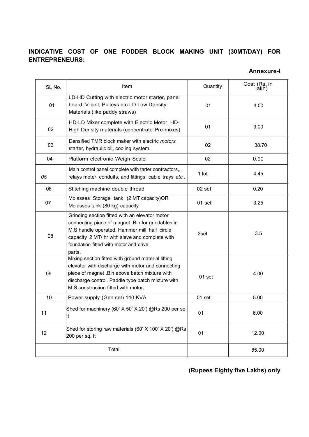## INDICATIVE COST OF ONE FODDER BLOCK MAKING UNIT (30MT/DAY) FOR ENTREPRENEURS:

Annexure-I

| SL No. | Item                                                                                                                                                                                                                                                      | Quantity | Cost (Rs. in<br>làkh) |
|--------|-----------------------------------------------------------------------------------------------------------------------------------------------------------------------------------------------------------------------------------------------------------|----------|-----------------------|
| 01     | LD-HD Cutting with electric motor starter, panel<br>board, V-belt, Pulleys etc.LD Low Density<br>Materials (like paddy straws)                                                                                                                            | 01       | 4.00                  |
| 02     | HD-LD Mixer complete with Electric Motor, HD-<br>High Density materials (concentrate Pre-mixes)                                                                                                                                                           | 01       | 3.00                  |
| 03     | Densified TMR block maker with electric motors<br>starter, hydraulic oil, cooling system.                                                                                                                                                                 | 02       | 38.70                 |
| 04     | Platform electronic Weigh Scale                                                                                                                                                                                                                           | 02       | 0.90                  |
| 05     | Main control panel complete with tarter contractors,,<br>relays meter, conduits, and fittings, cable trays etc                                                                                                                                            | 1 lot    | 4.45                  |
| 06     | Stitching machine double thread                                                                                                                                                                                                                           | 02 set   | 0.20                  |
| 07     | Molasses Storage tank (2 MT capacity)OR<br>Molasses tank (80 kg) capacity                                                                                                                                                                                 | 01 set   | 3.25                  |
| 08     | Grinding section fitted with an elevator motor<br>connecting piece of magnet. Bin for grindables in<br>M.S handle operated, Hammer mill half circle<br>capacity 2 MT/ hr with sieve and complete with<br>foundation fitted with motor and drive<br>parts. | 2set     | 3.5                   |
| 09     | Mixing section fitted with ground material lifting<br>elevator with discharge with motor and connecting<br>piece of magnet .Bin above batch mixture with<br>discharge control. Paddle type batch mixture with<br>M.S construction fitted with motor.      | $01$ set | 4.00                  |
| 10     | Power supply (Gen set) 140 KVA                                                                                                                                                                                                                            | 01 set   | 5.00                  |
| 11     | Shed for machinery (60' X 50' X 20') @Rs 200 per sq.<br>h.                                                                                                                                                                                                | 01       | 6.00                  |
| 12     | Shed for storing raw materials (60' X 100' X 20') @Rs<br>$200$ per sq. ft                                                                                                                                                                                 | 01       | 12.00                 |
|        | Total                                                                                                                                                                                                                                                     |          | 85.00                 |

## (Rupees Eighty five Lakhs) only